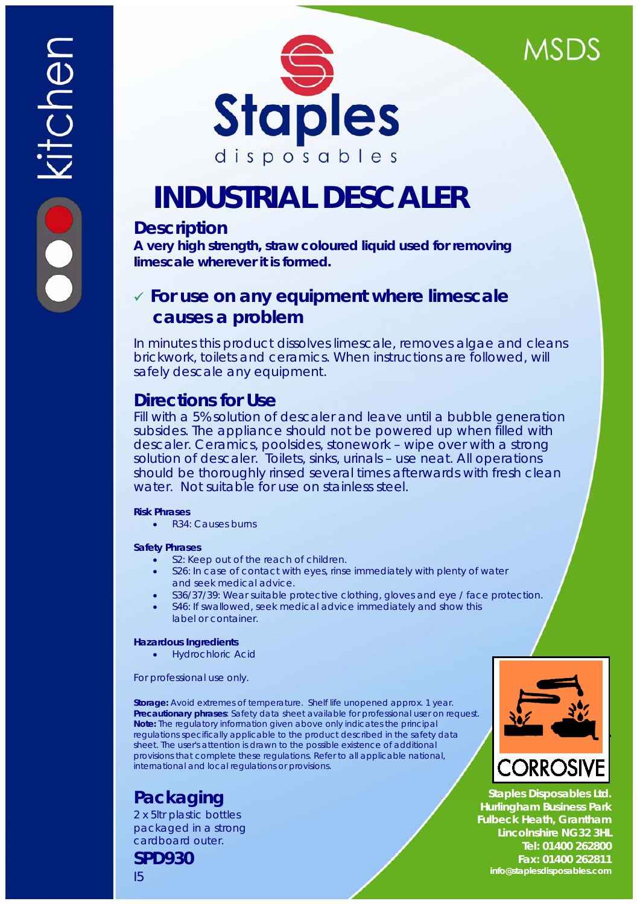



# **INDUSTRIAL DESCALER**

# **Description**

**A very high strength, straw coloured liquid used for removing limescale wherever it is formed.** 

# 9 **For use on any equipment where limescale causes a problem**

*In minutes this product dissolves limescale, removes algae and cleans brickwork, toilets and ceramics. When instructions are followed, will safely descale any equipment.* 

# **Directions for Use**

Fill with a 5% solution of descaler and leave until a bubble generation subsides. The appliance should not be powered up when filled with descaler. Ceramics, poolsides, stonework – wipe over with a strong solution of descaler. Toilets, sinks, urinals – use neat. All operations should be thoroughly rinsed several times afterwards with fresh clean water. Not suitable for use on stainless steel.

# **Risk Phrases**

• R34: Causes burns

# **Safety Phrases**

- S2: Keep out of the reach of children.
- S26: In case of contact with eyes, rinse immediately with plenty of water and seek medical advice.
- S36/37/39: Wear suitable protective clothing, gloves and eye / face protection.
- S46: If swallowed, seek medical advice immediately and show this label or container.

# **Hazardous Ingredients**

• Hydrochloric Acid

For professional use only.

**Storage:** Avoid extremes of temperature. Shelf life unopened approx. 1 year. **Precautionary phrases**: Safety data sheet available for professional user on request. **Note:** The regulatory information given above only indicates the principal regulations specifically applicable to the product described in the safety data sheet. The user's attention is drawn to the possible existence of additional provisions that complete these regulations. Refer to all applicable national, international and local regulations or provisions.

# **Packaging**

2 x 5ltr plastic bottles packaged in a strong cardboard outer.

**SPD930**

I5

**DRROS** 

**Staples Disposables Ltd. Hurlingham Business Park Fulbeck Heath, Grantham Lincolnshire NG32 3HL Tel: 01400 262800 Fax: 01400 262811 info@staplesdisposables.com**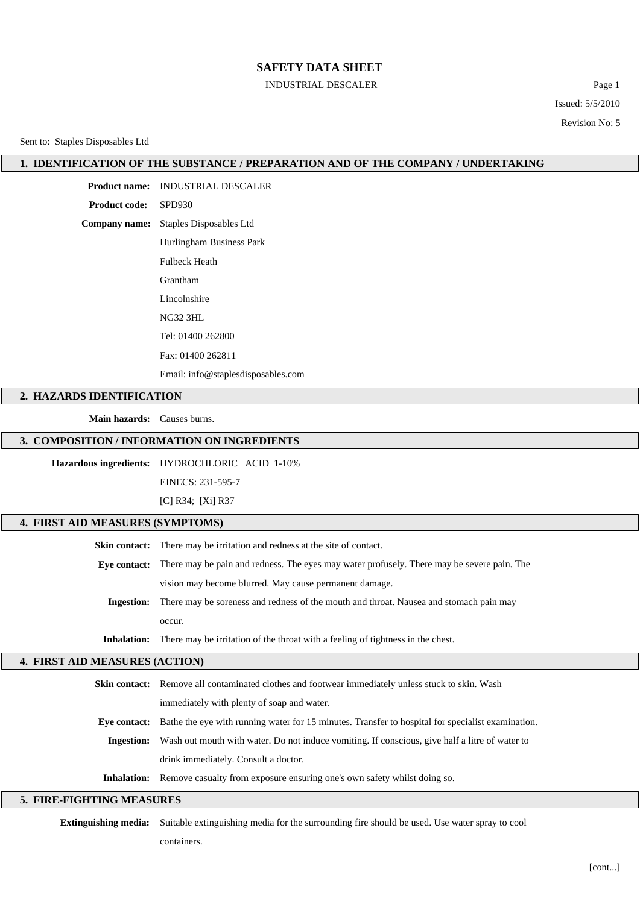#### INDUSTRIAL DESCALER Page 1

Issued: 5/5/2010 Revision No: 5

Sent to: Staples Disposables Ltd

#### **1. IDENTIFICATION OF THE SUBSTANCE / PREPARATION AND OF THE COMPANY / UNDERTAKING**

**Product name:** INDUSTRIAL DESCALER **Product code:** SPD930 **Company name:** Staples Disposables Ltd Hurlingham Business Park Fulbeck Heath Grantham Lincolnshire NG32 3HL Tel: 01400 262800 Fax: 01400 262811 Email: info@staplesdisposables.com

#### **2. HAZARDS IDENTIFICATION**

**Main hazards:** Causes burns.

#### **3. COMPOSITION / INFORMATION ON INGREDIENTS**

**Hazardous ingredients:** HYDROCHLORIC ACID 1-10%

EINECS: 231-595-7

[C] R34; [Xi] R37

## **4. FIRST AID MEASURES (SYMPTOMS)**

**Skin contact:** There may be irritation and redness at the site of contact. **Eye contact:** There may be pain and redness. The eyes may water profusely. There may be severe pain. The vision may become blurred. May cause permanent damage. **Ingestion:** There may be soreness and redness of the mouth and throat. Nausea and stomach pain may

occur.

**Inhalation:** There may be irritation of the throat with a feeling of tightness in the chest.

#### **4. FIRST AID MEASURES (ACTION)**

|              | <b>Skin contact:</b> Remove all contaminated clothes and footwear immediately unless stuck to skin. Wash |  |
|--------------|----------------------------------------------------------------------------------------------------------|--|
|              | immediately with plenty of soap and water.                                                               |  |
| Eve contact: | Bathe the eye with running water for 15 minutes. Transfer to hospital for specialist examination.        |  |
| Ingestion:   | Wash out mouth with water. Do not induce vomiting. If conscious, give half a litre of water to           |  |
|              | drink immediately. Consult a doctor.                                                                     |  |
|              | <b>Inhalation:</b> Remove casualty from exposure ensuring one's own safety whilst doing so.              |  |

#### **5. FIRE-FIGHTING MEASURES**

**Extinguishing media:** Suitable extinguishing media for the surrounding fire should be used. Use water spray to cool

containers.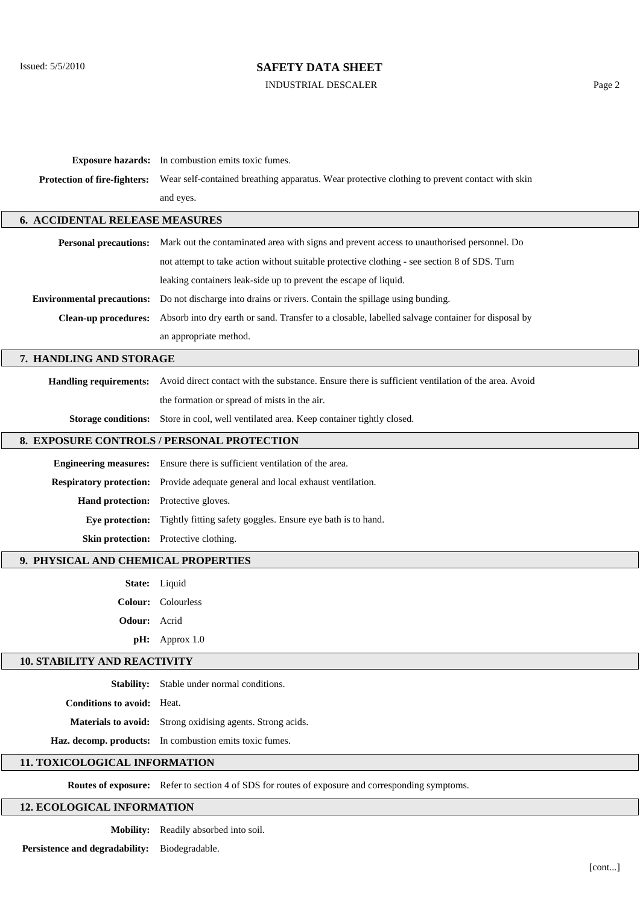## INDUSTRIAL DESCALER Page 2

|                                            | <b>Exposure hazards:</b> In combustion emits toxic fumes.                                                        |  |  |  |  |
|--------------------------------------------|------------------------------------------------------------------------------------------------------------------|--|--|--|--|
| Protection of fire-fighters:               | Wear self-contained breathing apparatus. Wear protective clothing to prevent contact with skin                   |  |  |  |  |
|                                            | and eyes.                                                                                                        |  |  |  |  |
| <b>6. ACCIDENTAL RELEASE MEASURES</b>      |                                                                                                                  |  |  |  |  |
|                                            | Personal precautions: Mark out the contaminated area with signs and prevent access to unauthorised personnel. Do |  |  |  |  |
|                                            | not attempt to take action without suitable protective clothing - see section 8 of SDS. Turn                     |  |  |  |  |
|                                            | leaking containers leak-side up to prevent the escape of liquid.                                                 |  |  |  |  |
| <b>Environmental precautions:</b>          | Do not discharge into drains or rivers. Contain the spillage using bunding.                                      |  |  |  |  |
| <b>Clean-up procedures:</b>                | Absorb into dry earth or sand. Transfer to a closable, labelled salvage container for disposal by                |  |  |  |  |
|                                            | an appropriate method.                                                                                           |  |  |  |  |
| 7. HANDLING AND STORAGE                    |                                                                                                                  |  |  |  |  |
| <b>Handling requirements:</b>              | Avoid direct contact with the substance. Ensure there is sufficient ventilation of the area. Avoid               |  |  |  |  |
|                                            | the formation or spread of mists in the air.                                                                     |  |  |  |  |
| <b>Storage conditions:</b>                 | Store in cool, well ventilated area. Keep container tightly closed.                                              |  |  |  |  |
| 8. EXPOSURE CONTROLS / PERSONAL PROTECTION |                                                                                                                  |  |  |  |  |
| <b>Engineering measures:</b>               | Ensure there is sufficient ventilation of the area.                                                              |  |  |  |  |
|                                            | Respiratory protection: Provide adequate general and local exhaust ventilation.                                  |  |  |  |  |
| Hand protection: Protective gloves.        |                                                                                                                  |  |  |  |  |
|                                            | Eye protection: Tightly fitting safety goggles. Ensure eye bath is to hand.                                      |  |  |  |  |
|                                            | Skin protection: Protective clothing.                                                                            |  |  |  |  |
| 9. PHYSICAL AND CHEMICAL PROPERTIES        |                                                                                                                  |  |  |  |  |
|                                            | State: Liquid                                                                                                    |  |  |  |  |
|                                            | Colour: Colourless                                                                                               |  |  |  |  |
| <b>Odour:</b> Acrid                        |                                                                                                                  |  |  |  |  |
|                                            | $pH:$ Approx 1.0                                                                                                 |  |  |  |  |
| <b>10. STABILITY AND REACTIVITY</b>        |                                                                                                                  |  |  |  |  |
|                                            | Stability: Stable under normal conditions.                                                                       |  |  |  |  |
| <b>Conditions to avoid:</b> Heat.          |                                                                                                                  |  |  |  |  |
|                                            | Materials to avoid: Strong oxidising agents. Strong acids.                                                       |  |  |  |  |
|                                            | Haz. decomp. products: In combustion emits toxic fumes.                                                          |  |  |  |  |
| 11. TOXICOLOGICAL INFORMATION              |                                                                                                                  |  |  |  |  |
|                                            | Routes of exposure: Refer to section 4 of SDS for routes of exposure and corresponding symptoms.                 |  |  |  |  |
| <b>12. ECOLOGICAL INFORMATION</b>          |                                                                                                                  |  |  |  |  |

**Mobility:** Readily absorbed into soil.

**Persistence and degradability:** Biodegradable.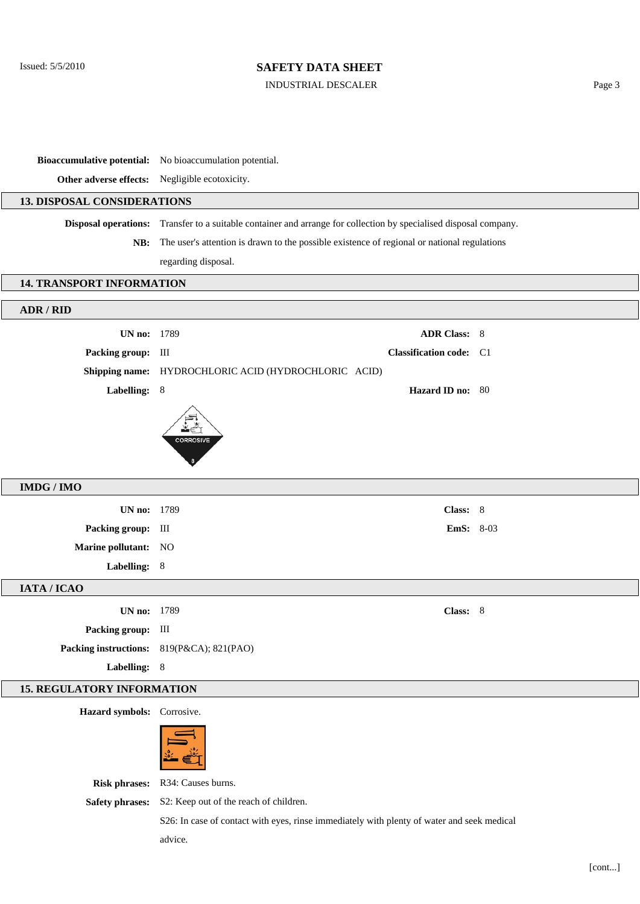#### INDUSTRIAL DESCALER Page 3

**Bioaccumulative potential:** No bioaccumulation potential.

**Other adverse effects:** Negligible ecotoxicity.

## **13. DISPOSAL CONSIDERATIONS**

**Disposal operations:** Transfer to a suitable container and arrange for collection by specialised disposal company.

**NB:** The user's attention is drawn to the possible existence of regional or national regulations regarding disposal.

#### **14. TRANSPORT INFORMATION**

| ADR / RID                         |                                                      |                                |  |  |  |
|-----------------------------------|------------------------------------------------------|--------------------------------|--|--|--|
| <b>UN no: 1789</b>                |                                                      | <b>ADR Class: 8</b>            |  |  |  |
| Packing group: III                |                                                      | <b>Classification code:</b> C1 |  |  |  |
|                                   |                                                      |                                |  |  |  |
|                                   | Shipping name: HYDROCHLORIC ACID (HYDROCHLORIC ACID) |                                |  |  |  |
| Labelling: 8                      |                                                      | Hazard ID no: 80               |  |  |  |
|                                   | <b>CORROSIVE</b>                                     |                                |  |  |  |
| <b>IMDG / IMO</b>                 |                                                      |                                |  |  |  |
| <b>UN no: 1789</b>                |                                                      | Class: 8                       |  |  |  |
| Packing group: III                |                                                      | <b>EmS:</b> 8-03               |  |  |  |
| Marine pollutant: NO              |                                                      |                                |  |  |  |
| Labelling: 8                      |                                                      |                                |  |  |  |
| IATA / ICAO                       |                                                      |                                |  |  |  |
| <b>UN no: 1789</b>                |                                                      | Class: 8                       |  |  |  |
| Packing group: III                |                                                      |                                |  |  |  |
|                                   | Packing instructions: 819(P&CA); 821(PAO)            |                                |  |  |  |
| Labelling: 8                      |                                                      |                                |  |  |  |
| <b>15. REGULATORY INFORMATION</b> |                                                      |                                |  |  |  |
| Hazard symbols: Corrosive.        |                                                      |                                |  |  |  |
|                                   |                                                      |                                |  |  |  |

**Risk phrases:** R34: Causes burns.

**Safety phrases:** S2: Keep out of the reach of children.

S26: In case of contact with eyes, rinse immediately with plenty of water and seek medical advice.